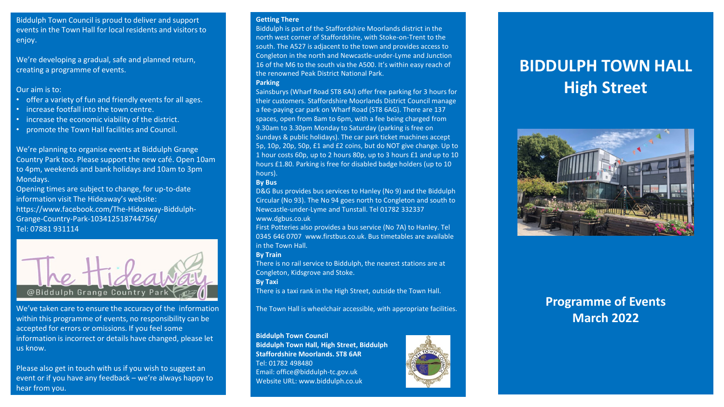Biddulph Town Council is proud to deliver and support events in the Town Hall for local residents and visitors to enjoy.

We're developing a gradual, safe and planned return, creating a programme of events.

#### Our aim is to:

- offer a variety of fun and friendly events for all ages.
- increase footfall into the town centre.
- increase the economic viability of the district.
- promote the Town Hall facilities and Council.

We're planning to organise events at Biddulph Grange Country Park too. Please support the new café. Open 10am to 4pm, weekends and bank holidays and 10am to 3pm Mondays.

Opening times are subject to change, for up-to-date information visit The Hideaway's website: https://www.facebook.com/The-Hideaway-Biddulph-Grange-Country-Park-103412518744756/ Tel: 07881 931114



We've taken care to ensure the accuracy of the information within this programme of events, no responsibility can be accepted for errors or omissions. If you feel some information is incorrect or details have changed, please let us know.

Please also get in touch with us if you wish to suggest an event or if you have any feedback – we're always happy to hear from you.

#### **Getting There**

Biddulph is part of the Staffordshire Moorlands district in the north west corner of Staffordshire, with Stoke-on-Trent to the south. The A527 is adjacent to the town and provides access to Congleton in the north and Newcastle-under-Lyme and Junction 16 of the M6 to the south via the A500. It's within easy reach of the renowned Peak District National Park. **Parking** 

Sainsburys (Wharf Road ST8 6AJ) offer free parking for 3 hours for their customers. Staffordshire Moorlands District Council manage a fee-paying car park on Wharf Road (ST8 6AG). There are 137 spaces, open from 8am to 6pm, with a fee being charged from 9.30am to 3.30pm Monday to Saturday (parking is free on Sundays & public holidays). The car park ticket machines accept 5p, 10p, 20p, 50p, £1 and £2 coins, but do NOT give change. Up to 1 hour costs 60p, up to 2 hours 80p, up to 3 hours £1 and up to 10 hours £1.80. Parking is free for disabled badge holders (up to 10 hours).

#### **By Bus**

D&G Bus provides bus services to Hanley (No 9) and the Biddulph Circular (No 93). The No 94 goes north to Congleton and south to Newcastle-under-Lyme and Tunstall. Tel 01782 332337 www.dgbus.co.uk

First Potteries also provides a bus service (No 7A) to Hanley. Tel 0345 646 0707 www.firstbus.co.uk. Bus timetables are available in the Town Hall.

#### **By Train**

There is no rail service to Biddulph, the nearest stations are at Congleton, Kidsgrove and Stoke.

**By Taxi** 

There is a taxi rank in the High Street, outside the Town Hall.

The Town Hall is wheelchair accessible, with appropriate facilities.

#### **Biddulph Town Council**

**Biddulph Town Hall, High Street, Biddulph Staffordshire Moorlands. ST8 6AR**  Tel: 01782 498480 Email: office@biddulph-tc.gov.uk Website URL: www.biddulph.co.uk



# **BIDDULPH TOWN HALL High Street**



## **Programme of Events March 2022**